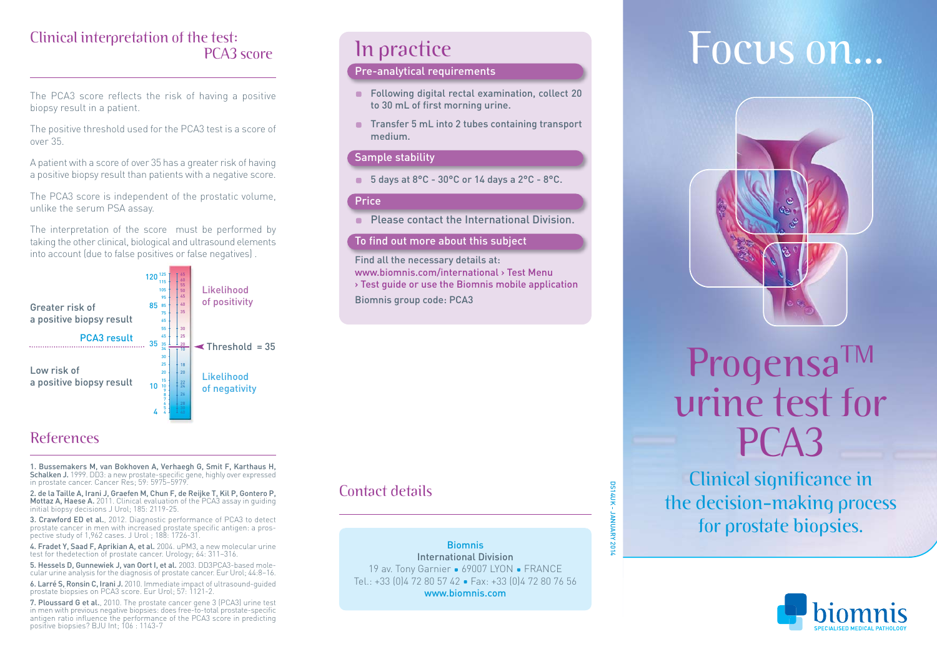## Clinical interpretation of the test: PCA3 score

The PCA3 score reflects the risk of having a positive biopsy result in a patient.

The positive threshold used for the PCA3 test is a score of over 35.

A patient with a score of over 35 has a greater risk of having a positive biopsy result than patients with a negative score.

The PCA3 score is independent of the prostatic volume, unlike the serum PSA assay.

The interpretation of the score must be performed by taking the other clinical, biological and ultrasound elements into account (due to false positives or false negatives) .



### References

1. Bussemakers M, van Bokhoven A, Verhaegh G, Smit F, Karthaus H, **Schalken J.** 1999. DD3: a new prostate-specific gene, highly over expressed<br>in prostate cancer. Cancer Res; 59: 5975–5979.

2. de la Taille A, Irani J, Graefen M, Chun F, de Reijke T, Kil P, Gontero P, Mottaz A, Haese A. 2011. Clinical evaluation of the PCA3 assay in guiding initial biopsy decisions J Urol; 185: 2119-25.

3. Crawford ED et al., 2012. Diagnostic performance of PCA3 to detect prostate cancer in men with increased prostate specific antigen: a prospective study of 1,962 cases. J Urol ; 188: 1726-31.

4. Fradet Y, Saad F, Aprikian A, et al. 2004. uPM3, a new molecular urine test for thedetection of prostate cancer. Urology; 64: 311–316.

5. Hessels D, Gunnewiek J, van Oort I, et al. 2003. DD3PCA3-based molecular urine analysis for the diagnosis of prostate cancer. Eur Urol; 44:8–16.

6. Larré S, Ronsin C, Irani J. 2010. Immediate impact of ultrasound-guided prostate biopsies on PCA3 score. Eur Urol; 57: 1121-2.

7. Ploussard G et al., 2010. The prostate cancer gene 3 (PCA3) urine test in men with previous negative biopsies: does free-to-total prostate-specific antigen ratio influence the performance of the PCA3 score in predicting positive biopsies? BJU Int; 106 : 1143-7

## In practice

### Pre-analytical requirements

- **Following digital rectal examination, collect 20** to 30 mL of first morning urine.
- Transfer 5 mL into 2 tubes containing transport medium.

### Sample stability

■ 5 days at 8°C - 30°C or 14 days a 2°C - 8°C.

#### Price

**Please contact the International Division.** 

#### To find out more about this subject

Find all the necessary details at: www.biomnis.com/international > Test Menu

> Test guide or use the Biomnis mobile application Biomnis group code: PCA3

### Contact details

Biomnis International Division 19 av. Tony Garnier • 69007 LYON • FRANCE Tel.: +33 (0) 4 72 80 57 42 · Fax: +33 (0) 4 72 80 76 56 www.biomnis.com

DS14UK - JANUARY 2014

- JANUARY 201

**DS14UK** 

# Focus on...



## Progensa<sup>TM</sup> urine test for PCA3

Clinical significance in the decision-making process for prostate biopsies.